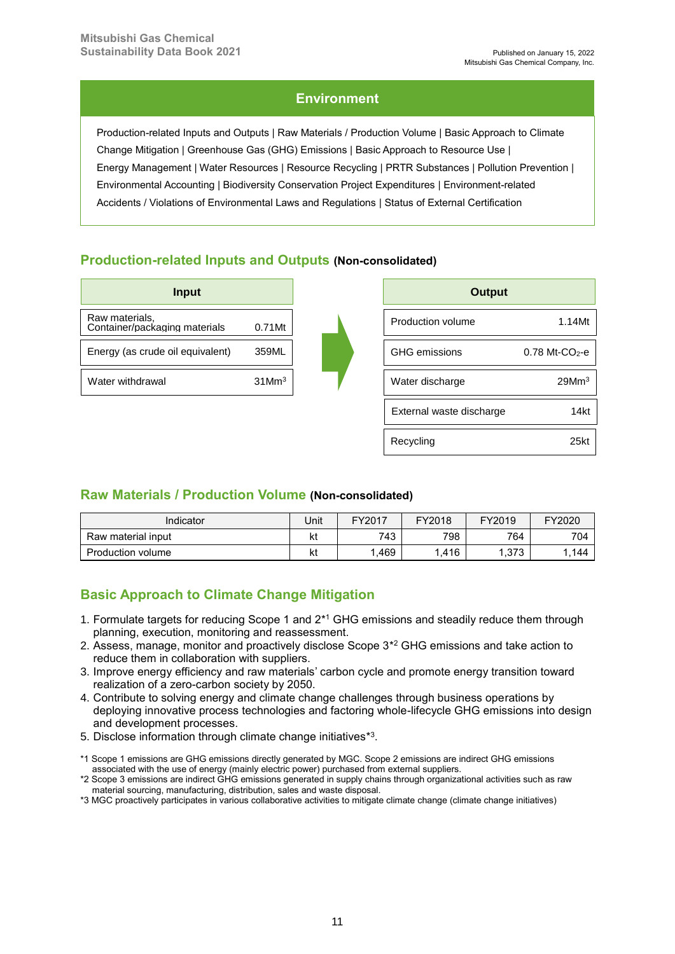Recycling 25kt

# **Environment**

Production-related Inputs and Outputs | Raw Materials / Production Volume | Basic Approach to Climate Change Mitigation | Greenhouse Gas (GHG) Emissions | Basic Approach to Resource Use | Energy Management | Water Resources | Resource Recycling | PRTR Substances | Pollution Prevention | Environmental Accounting | Biodiversity Conservation Project Expenditures | Environment-related Accidents / Violations of Environmental Laws and Regulations | Status of External Certification

# **Production-related Inputs and Outputs (Non-consolidated)**

| Input                                           |                      |  | <b>Output</b>            |                              |
|-------------------------------------------------|----------------------|--|--------------------------|------------------------------|
| Raw materials,<br>Container/packaging materials | 0.71Mt               |  | Production volume        | 1.14Mt                       |
| Energy (as crude oil equivalent)                | 359ML                |  | <b>GHG</b> emissions     | $0.78$ Mt-CO <sub>2</sub> -e |
| Water withdrawal                                | $31$ Mm <sup>3</sup> |  | Water discharge          | 29Mm <sup>3</sup>            |
|                                                 |                      |  | External waste discharge | 14kt                         |

# **Raw Materials / Production Volume (Non-consolidated)**

| Indicator          | Jnit | FY2017 | FY2018 | FY2019                   | FY2020 |
|--------------------|------|--------|--------|--------------------------|--------|
| Raw material input | kt   | 743    | 798    | 764                      | 704    |
| Production volume  | kt   | .469   | .416   | $1.27^\circ$<br>. ن ۱ ن. | .144   |

# **Basic Approach to Climate Change Mitigation**

- 1. Formulate targets for reducing Scope 1 and 2<sup>\*1</sup> GHG emissions and steadily reduce them through planning, execution, monitoring and reassessment.
- 2. Assess, manage, monitor and proactively disclose Scope 3\* <sup>2</sup> GHG emissions and take action to reduce them in collaboration with suppliers.
- 3. Improve energy efficiency and raw materials' carbon cycle and promote energy transition toward realization of a zero-carbon society by 2050.
- 4. Contribute to solving energy and climate change challenges through business operations by deploying innovative process technologies and factoring whole-lifecycle GHG emissions into design and development processes.
- 5. Disclose information through climate change initiatives<sup>\*3</sup>.
- \*1 Scope 1 emissions are GHG emissions directly generated by MGC. Scope 2 emissions are indirect GHG emissions associated with the use of energy (mainly electric power) purchased from external suppliers.
- \*2 Scope 3 emissions are indirect GHG emissions generated in supply chains through organizational activities such as raw material sourcing, manufacturing, distribution, sales and waste disposal.
- \*3 MGC proactively participates in various collaborative activities to mitigate climate change (climate change initiatives)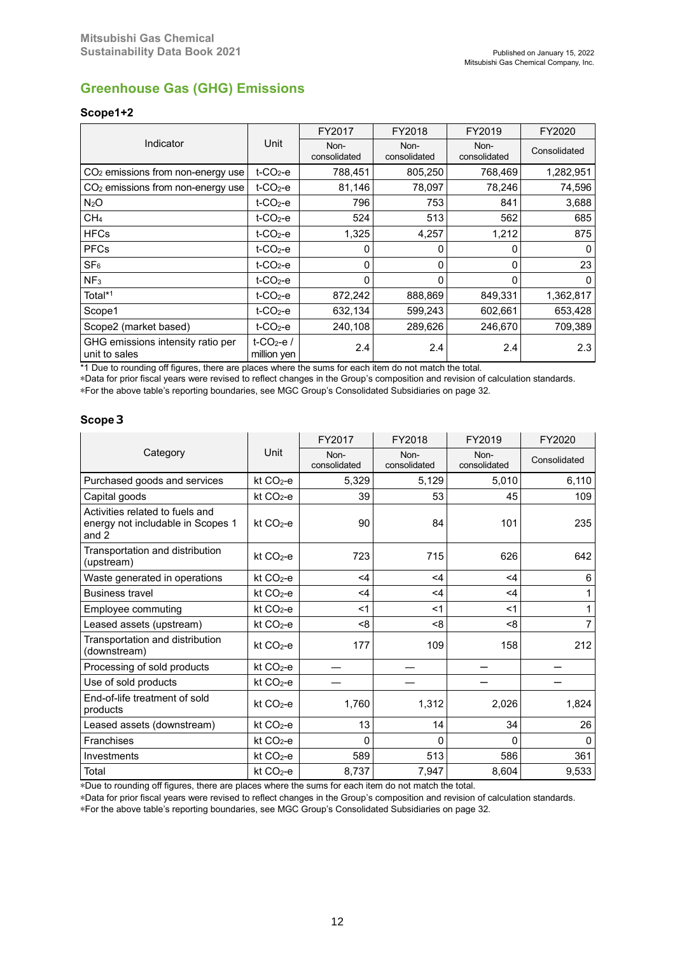# **Greenhouse Gas (GHG) Emissions**

# **Scope1+2**

|                                                    |                                       | FY2017               | FY2018               | FY2019               | FY2020       |
|----------------------------------------------------|---------------------------------------|----------------------|----------------------|----------------------|--------------|
| Indicator                                          | Unit                                  | Non-<br>consolidated | Non-<br>consolidated | Non-<br>consolidated | Consolidated |
| CO <sub>2</sub> emissions from non-energy use      | $t$ -CO <sub>2</sub> -e               | 788,451              | 805,250              | 768,469              | 1,282,951    |
| CO <sub>2</sub> emissions from non-energy use      | $t$ -CO <sub>2</sub> -e               | 81,146               | 78,097               | 78,246               | 74,596       |
| N <sub>2</sub> O                                   | $t$ -CO <sub>2</sub> -e               | 796                  | 753                  | 841                  | 3,688        |
| CH <sub>4</sub>                                    | $t$ -CO <sub>2</sub> -e               | 524                  | 513                  | 562                  | 685          |
| <b>HFCs</b>                                        | $t$ -CO <sub>2</sub> -e               | 1,325                | 4,257                | 1,212                | 875          |
| <b>PFCs</b>                                        | $t$ -CO <sub>2</sub> -e               |                      | 0                    |                      |              |
| SF <sub>6</sub>                                    | $t$ -CO <sub>2</sub> -e               | 0                    | 0                    | 0                    | 23           |
| NF <sub>3</sub>                                    | $t$ -CO <sub>2</sub> -e               | N                    | 0                    | O                    |              |
| Total*1                                            | $t$ -CO <sub>2</sub> -e               | 872,242              | 888,869              | 849,331              | 1,362,817    |
| Scope1                                             | $t$ -CO <sub>2</sub> -e               | 632,134              | 599,243              | 602,661              | 653,428      |
| Scope2 (market based)                              | $t$ -CO <sub>2</sub> -e               | 240,108              | 289,626              | 246,670              | 709,389      |
| GHG emissions intensity ratio per<br>unit to sales | t-CO <sub>2</sub> -e /<br>million yen | 2.4                  | 2.4                  | 2.4                  | 2.3          |

\*1 Due to rounding off figures, there are places where the sums for each item do not match the total.

\*Data for prior fiscal years were revised to reflect changes in the Group's composition and revision of calculation standards. \*For the above table's reporting boundaries, see MGC Group's Consolidated Subsidiaries on page 32.

### **Scope3**

|                                                                               |                      | FY2017               | FY2018               | FY2019               | FY2020       |
|-------------------------------------------------------------------------------|----------------------|----------------------|----------------------|----------------------|--------------|
| Category                                                                      | Unit                 | Non-<br>consolidated | Non-<br>consolidated | Non-<br>consolidated | Consolidated |
| Purchased goods and services                                                  | kt $CO2$ -e          | 5,329                | 5,129                | 5,010                | 6,110        |
| Capital goods                                                                 | $kt CO2-e$           | 39                   | 53                   | 45                   | 109          |
| Activities related to fuels and<br>energy not includable in Scopes 1<br>and 2 | $kt CO2-e$           | 90                   | 84                   | 101                  | 235          |
| Transportation and distribution<br>(upstream)                                 | $kt CO2-e$           | 723                  | 715                  | 626                  | 642          |
| Waste generated in operations                                                 | $kt CO2-e$           | $<$ 4                | $<$ 4                | $\leq 4$             | 6            |
| <b>Business travel</b>                                                        | kt CO <sub>2-e</sub> | $<$ 4                | $\leq 4$             | $\leq 4$             |              |
| Employee commuting                                                            | kt CO <sub>2-e</sub> | $<$ 1                | $<$ 1                | $<$ 1                | 1            |
| Leased assets (upstream)                                                      | $kt CO2-e$           | <8                   | < 8                  | <8                   | 7            |
| Transportation and distribution<br>(downstream)                               | kt $CO2$ -e          | 177                  | 109                  | 158                  | 212          |
| Processing of sold products                                                   | $kt CO2-e$           |                      |                      |                      |              |
| Use of sold products                                                          | $kt CO2-e$           |                      |                      |                      |              |
| End-of-life treatment of sold<br>products                                     | kt $CO2$ -e          | 1,760                | 1,312                | 2,026                | 1,824        |
| Leased assets (downstream)                                                    | kt $CO2$ -e          | 13                   | 14                   | 34                   | 26           |
| <b>Franchises</b>                                                             | $kt CO2-e$           | 0                    | 0                    | 0                    | $\Omega$     |
| Investments                                                                   | $kt CO2-e$           | 589                  | 513                  | 586                  | 361          |
| Total                                                                         | kt CO <sub>2-e</sub> | 8,737                | 7,947                | 8,604                | 9,533        |

\*Due to rounding off figures, there are places where the sums for each item do not match the total.

\*Data for prior fiscal years were revised to reflect changes in the Group's composition and revision of calculation standards.

\*For the above table's reporting boundaries, see MGC Group's Consolidated Subsidiaries on page 32.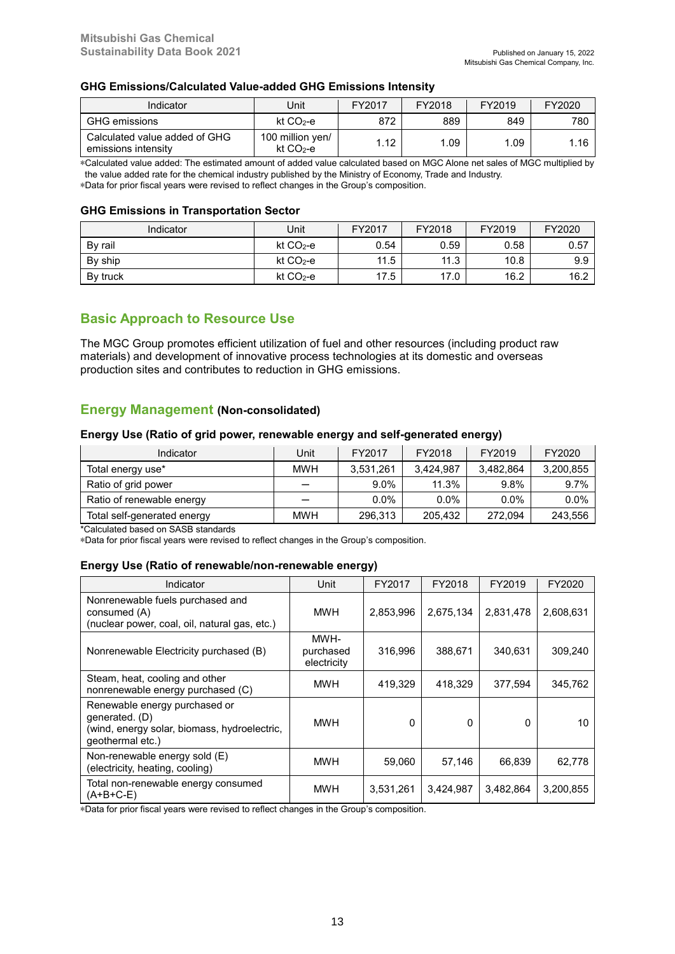#### **GHG Emissions/Calculated Value-added GHG Emissions Intensity**

| Indicator                                            | Unit                           | FY2017 | FY2018 | FY2019 | FY2020 |
|------------------------------------------------------|--------------------------------|--------|--------|--------|--------|
| <b>GHG</b> emissions                                 | kt $CO2$ -e                    | 872    | 889    | 849    | 780    |
| Calculated value added of GHG<br>emissions intensity | 100 million yen/<br>$kt CO2-e$ | 1.12   | 1.09   | .09    | 1.16   |

\*Calculated value added: The estimated amount of added value calculated based on MGC Alone net sales of MGC multiplied by the value added rate for the chemical industry published by the Ministry of Economy, Trade and Industry.

\*Data for prior fiscal years were revised to reflect changes in the Group's composition.

#### **GHG Emissions in Transportation Sector**

| Indicator | Jnit       | FY2017 | FY2018 | FY2019 | FY2020 |
|-----------|------------|--------|--------|--------|--------|
| By rail   | $kt CO2-e$ | 0.54   | 0.59   | 0.58   | 0.57   |
| By ship   | kt CO2-e   | 11.5   | 11.3   | 10.8   | 9.9    |
| By truck  | $kt CO2-e$ | 17.5   | 17.0   | 16.2   | 16.2   |

# **Basic Approach to Resource Use**

The MGC Group promotes efficient utilization of fuel and other resources (including product raw materials) and development of innovative process technologies at its domestic and overseas production sites and contributes to reduction in GHG emissions.

### **Energy Management (Non-consolidated)**

### **Energy Use (Ratio of grid power, renewable energy and self-generated energy)**

| Indicator                   | Unit       | FY2017    | FY2018    | FY2019    | FY2020    |
|-----------------------------|------------|-----------|-----------|-----------|-----------|
| Total energy use*           | <b>MWH</b> | 3,531,261 | 3.424.987 | 3.482.864 | 3,200,855 |
| Ratio of grid power         |            | $9.0\%$   | 11.3%     | 9.8%      | 9.7%      |
| Ratio of renewable energy   |            | $0.0\%$   | $0.0\%$   | $0.0\%$   | $0.0\%$   |
| Total self-generated energy | <b>MWH</b> | 296,313   | 205.432   | 272.094   | 243,556   |

\*Calculated based on SASB standards

\*Data for prior fiscal years were revised to reflect changes in the Group's composition.

### **Energy Use (Ratio of renewable/non-renewable energy)**

| Indicator                                                                                                           | Unit                             | FY2017    | FY2018    | FY2019       | FY2020    |
|---------------------------------------------------------------------------------------------------------------------|----------------------------------|-----------|-----------|--------------|-----------|
| Nonrenewable fuels purchased and<br>consumed (A)<br>(nuclear power, coal, oil, natural gas, etc.)                   | MWH                              | 2,853,996 | 2,675,134 | 2,831,478    | 2,608,631 |
| Nonrenewable Electricity purchased (B)                                                                              | MWH-<br>purchased<br>electricity | 316.996   | 388.671   | 340.631      | 309.240   |
| Steam, heat, cooling and other<br>nonrenewable energy purchased (C)                                                 | <b>MWH</b>                       | 419,329   | 418,329   | 377,594      | 345.762   |
| Renewable energy purchased or<br>generated. (D)<br>(wind, energy solar, biomass, hydroelectric,<br>geothermal etc.) | <b>MWH</b>                       | 0         | 0         | <sup>0</sup> | 10        |
| Non-renewable energy sold (E)<br>(electricity, heating, cooling)                                                    | <b>MWH</b>                       | 59,060    | 57,146    | 66.839       | 62.778    |
| Total non-renewable energy consumed<br>$(A+B+C-E)$                                                                  | <b>MWH</b>                       | 3,531,261 | 3,424,987 | 3,482,864    | 3,200,855 |

\*Data for prior fiscal years were revised to reflect changes in the Group's composition.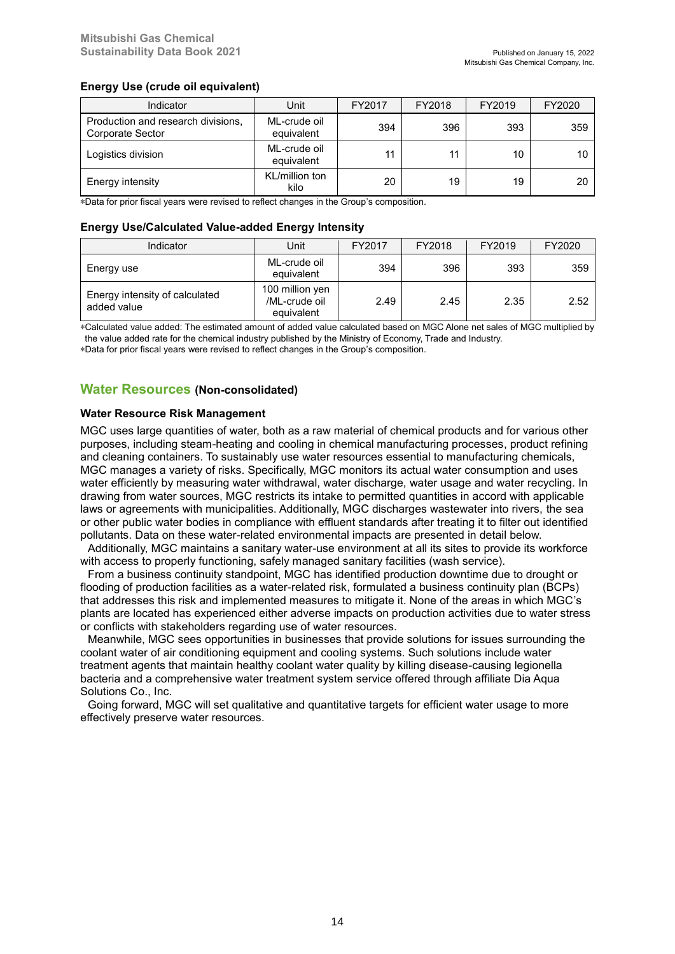### **Energy Use (crude oil equivalent)**

| Indicator                                                     | Unit                       | FY2017 | FY2018 | FY2019 | FY2020 |
|---------------------------------------------------------------|----------------------------|--------|--------|--------|--------|
| Production and research divisions,<br><b>Corporate Sector</b> | ML-crude oil<br>equivalent | 394    | 396    | 393    | 359    |
| Logistics division                                            | ML-crude oil<br>equivalent | 11     | 11     | 10     | 10     |
| Energy intensity                                              | KL/million ton<br>kilo     | 20     | 19     | 19     | 20     |

\*Data for prior fiscal years were revised to reflect changes in the Group's composition.

#### **Energy Use/Calculated Value-added Energy Intensity**

| Indicator                                     | Unit.                                          | FY2017 | FY2018 | FY2019 | FY2020 |
|-----------------------------------------------|------------------------------------------------|--------|--------|--------|--------|
| Energy use                                    | ML-crude oil<br>equivalent                     | 394    | 396    | 393    | 359    |
| Energy intensity of calculated<br>added value | 100 million yen<br>/ML-crude oil<br>equivalent | 2.49   | 2.45   | 2.35   | 2.52   |

\*Calculated value added: The estimated amount of added value calculated based on MGC Alone net sales of MGC multiplied by the value added rate for the chemical industry published by the Ministry of Economy, Trade and Industry.

\*Data for prior fiscal years were revised to reflect changes in the Group's composition.

### **Water Resources (Non-consolidated)**

#### **Water Resource Risk Management**

MGC uses large quantities of water, both as a raw material of chemical products and for various other purposes, including steam-heating and cooling in chemical manufacturing processes, product refining and cleaning containers. To sustainably use water resources essential to manufacturing chemicals, MGC manages a variety of risks. Specifically, MGC monitors its actual water consumption and uses water efficiently by measuring water withdrawal, water discharge, water usage and water recycling. In drawing from water sources, MGC restricts its intake to permitted quantities in accord with applicable laws or agreements with municipalities. Additionally, MGC discharges wastewater into rivers, the sea or other public water bodies in compliance with effluent standards after treating it to filter out identified pollutants. Data on these water-related environmental impacts are presented in detail below.

Additionally, MGC maintains a sanitary water-use environment at all its sites to provide its workforce with access to properly functioning, safely managed sanitary facilities (wash service).

From a business continuity standpoint, MGC has identified production downtime due to drought or flooding of production facilities as a water-related risk, formulated a business continuity plan (BCPs) that addresses this risk and implemented measures to mitigate it. None of the areas in which MGC's plants are located has experienced either adverse impacts on production activities due to water stress or conflicts with stakeholders regarding use of water resources.

Meanwhile, MGC sees opportunities in businesses that provide solutions for issues surrounding the coolant water of air conditioning equipment and cooling systems. Such solutions include water treatment agents that maintain healthy coolant water quality by killing disease-causing legionella bacteria and a comprehensive water treatment system service offered through affiliate Dia Aqua Solutions Co., Inc.

Going forward, MGC will set qualitative and quantitative targets for efficient water usage to more effectively preserve water resources.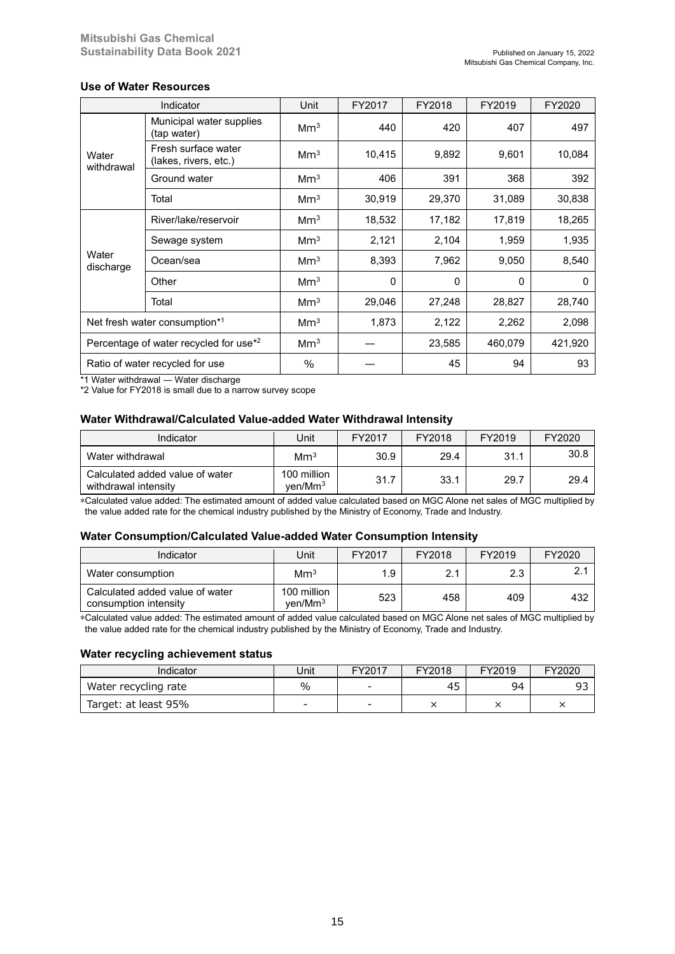### **Use of Water Resources**

|                                                    | Indicator                                    | Unit            | FY2017 | FY2018 | FY2019  | FY2020  |
|----------------------------------------------------|----------------------------------------------|-----------------|--------|--------|---------|---------|
|                                                    | Municipal water supplies<br>(tap water)      | Mm <sup>3</sup> | 440    | 420    | 407     | 497     |
| Water<br>withdrawal                                | Fresh surface water<br>(lakes, rivers, etc.) | Mm <sup>3</sup> | 10,415 | 9,892  | 9,601   | 10,084  |
|                                                    | Ground water                                 | Mm <sup>3</sup> | 406    | 391    | 368     | 392     |
|                                                    | Total                                        | Mm <sup>3</sup> | 30,919 | 29,370 | 31,089  | 30,838  |
|                                                    | River/lake/reservoir                         | Mm <sup>3</sup> | 18,532 | 17,182 | 17,819  | 18,265  |
|                                                    | Sewage system                                | Mm <sup>3</sup> | 2,121  | 2,104  | 1,959   | 1,935   |
| Water<br>discharge                                 | Ocean/sea                                    | Mm <sup>3</sup> | 8,393  | 7,962  | 9,050   | 8,540   |
|                                                    | Other                                        | Mm <sup>3</sup> | 0      | 0      | 0       | 0       |
|                                                    | Total                                        | Mm <sup>3</sup> | 29,046 | 27,248 | 28,827  | 28,740  |
|                                                    | Net fresh water consumption*1                | Mm <sup>3</sup> | 1,873  | 2,122  | 2,262   | 2,098   |
| Percentage of water recycled for use <sup>*2</sup> |                                              | Mm <sup>3</sup> |        | 23,585 | 460,079 | 421,920 |
|                                                    | Ratio of water recycled for use              | $\%$            |        | 45     | 94      | 93      |

\*1 Water withdrawal ― Water discharge

\*2 Value for FY2018 is small due to a narrow survey scope

### **Water Withdrawal/Calculated Value-added Water Withdrawal Intensity**

| Indicator                                               | Jnit                               | FY2017 | FY2018 | FY2019 | FY2020 |
|---------------------------------------------------------|------------------------------------|--------|--------|--------|--------|
| Water withdrawal                                        | Mm <sup>3</sup>                    | 30.9   | 29.4   | 31.    | 30.8   |
| Calculated added value of water<br>withdrawal intensity | 100 million<br>ven/Mm <sup>3</sup> | 31.7   | 33.1   | 29.7   | 29.4   |

\*Calculated value added: The estimated amount of added value calculated based on MGC Alone net sales of MGC multiplied by the value added rate for the chemical industry published by the Ministry of Economy, Trade and Industry.

#### **Water Consumption/Calculated Value-added Water Consumption Intensity**

| Indicator                                                | Unit                               | FY2017 | FY2018 | FY2019 | FY2020 |
|----------------------------------------------------------|------------------------------------|--------|--------|--------|--------|
| Water consumption                                        | Mm <sup>3</sup>                    | 1.9    | 2.1    | 2.3    |        |
| Calculated added value of water<br>consumption intensity | 100 million<br>ven/Mm <sup>3</sup> | 523    | 458    | 409    | 432    |

\*Calculated value added: The estimated amount of added value calculated based on MGC Alone net sales of MGC multiplied by the value added rate for the chemical industry published by the Ministry of Economy, Trade and Industry.

#### **Water recycling achievement status**

| Indicator            | Unit                     | FY2017 | FY2018 | FY2019 | FY2020 |
|----------------------|--------------------------|--------|--------|--------|--------|
| Water recycling rate | $\%$                     | -      | 45     | 94     | ۵.     |
| Target: at least 95% | $\overline{\phantom{0}}$ | -      |        |        |        |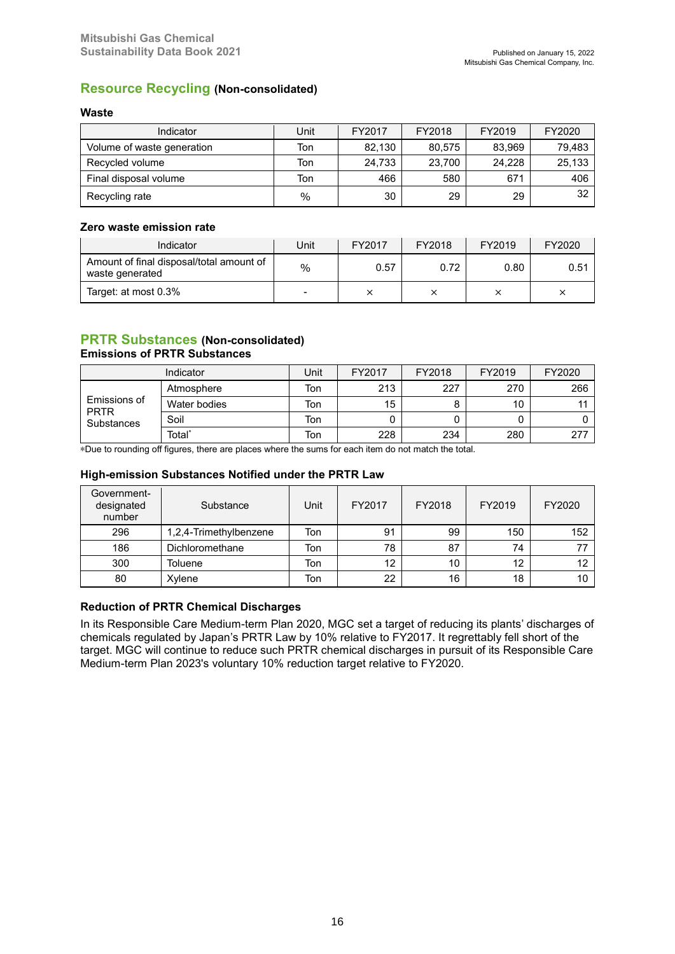# **Resource Recycling (Non-consolidated)**

### **Waste**

| Indicator                  | Unit          | FY2017 | FY2018 | FY2019 | FY2020 |
|----------------------------|---------------|--------|--------|--------|--------|
| Volume of waste generation | Ton           | 82,130 | 80,575 | 83,969 | 79,483 |
| Recycled volume            | Ton           | 24.733 | 23.700 | 24.228 | 25,133 |
| Final disposal volume      | Ton           | 466    | 580    | 671    | 406    |
| Recycling rate             | $\frac{0}{0}$ | 30     | 29     | 29     | 32     |

### **Zero waste emission rate**

| Indicator                                                   | Unit                     | FY2017 | FY2018 | FY2019 | FY2020 |
|-------------------------------------------------------------|--------------------------|--------|--------|--------|--------|
| Amount of final disposal/total amount of<br>waste generated | $\%$                     | 0.57   | 0.72   | 0.80   | 0.51   |
| Target: at most 0.3%                                        | $\overline{\phantom{a}}$ |        |        |        | ╰      |

### **PRTR Substances (Non-consolidated) Emissions of PRTR Substances**

| Indicator                                 |                    | Jnit | FY2017 | FY2018 | FY2019 | FY2020 |
|-------------------------------------------|--------------------|------|--------|--------|--------|--------|
| Emissions of<br><b>PRTR</b><br>Substances | Atmosphere         | Ton  | 213    | 227    | 270    | 266    |
|                                           | Water bodies       | Ton  | 15     | Ο      | 10     |        |
|                                           | Soil               | Ton  |        |        |        |        |
|                                           | Total <sup>*</sup> | Ton  | 228    | 234    | 280    | 277    |

\*Due to rounding off figures, there are places where the sums for each item do not match the total.

### **High-emission Substances Notified under the PRTR Law**

| Government-<br>designated<br>number | Substance              | Unit | FY2017 | FY2018 | FY2019 | FY2020 |
|-------------------------------------|------------------------|------|--------|--------|--------|--------|
| 296                                 | 1,2,4-Trimethylbenzene | Ton  | 91     | 99     | 150    | 152    |
| 186                                 | Dichloromethane        | Ton  | 78     | 87     | 74     | 77     |
| 300                                 | Toluene                | Ton  | 12     | 10     | 12     | 12     |
| 80                                  | Xylene                 | Ton  | 22     | 16     | 18     | 10     |

## **Reduction of PRTR Chemical Discharges**

In its Responsible Care Medium-term Plan 2020, MGC set a target of reducing its plants' discharges of chemicals regulated by Japan's PRTR Law by 10% relative to FY2017. It regrettably fell short of the target. MGC will continue to reduce such PRTR chemical discharges in pursuit of its Responsible Care Medium-term Plan 2023's voluntary 10% reduction target relative to FY2020.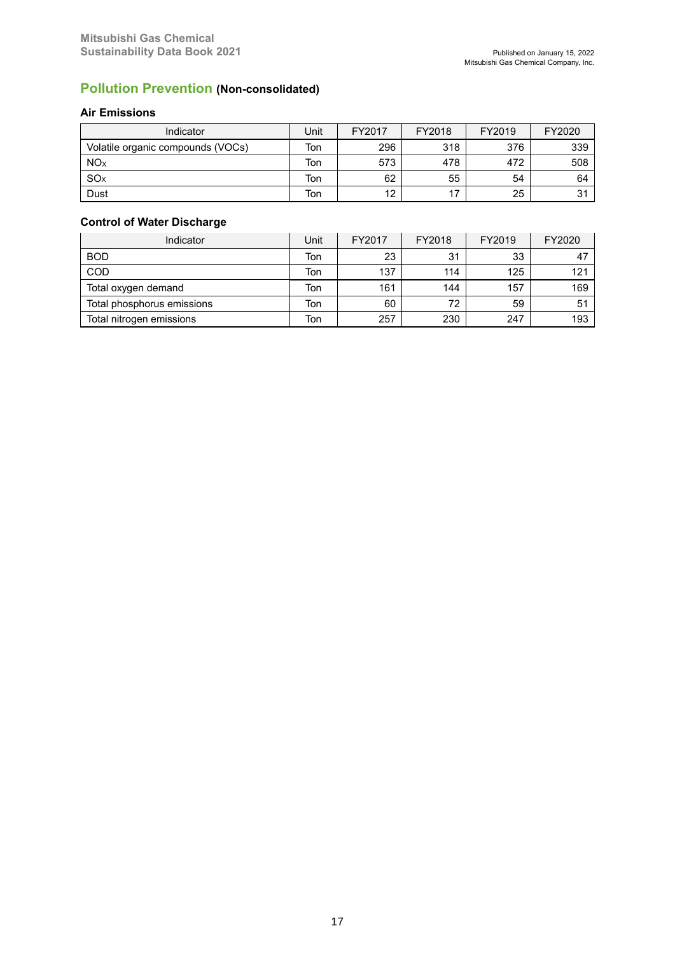# **Pollution Prevention (Non-consolidated)**

# **Air Emissions**

| Indicator                         | Jnit | FY2017 | FY2018 | FY2019 | FY2020 |
|-----------------------------------|------|--------|--------|--------|--------|
| Volatile organic compounds (VOCs) | Ton  | 296    | 318    | 376    | 339    |
| <b>NO</b> <sub>x</sub>            | Ton  | 573    | 478    | 472    | 508    |
| SO <sub>X</sub>                   | Ton  | 62     | 55     | 54     | 64     |
| Dust                              | Ton  | 12     | 17     | 25     | 31     |

# **Control of Water Discharge**

| Indicator                  | Unit | FY2017 | FY2018 | FY2019 | FY2020 |
|----------------------------|------|--------|--------|--------|--------|
| <b>BOD</b>                 | Ton  | 23     | 31     | 33     | 47     |
| COD                        | Ton  | 137    | 114    | 125    | 121    |
| Total oxygen demand        | Ton  | 161    | 144    | 157    | 169    |
| Total phosphorus emissions | Ton  | 60     | 72     | 59     | 51     |
| Total nitrogen emissions   | Ton  | 257    | 230    | 247    | 193    |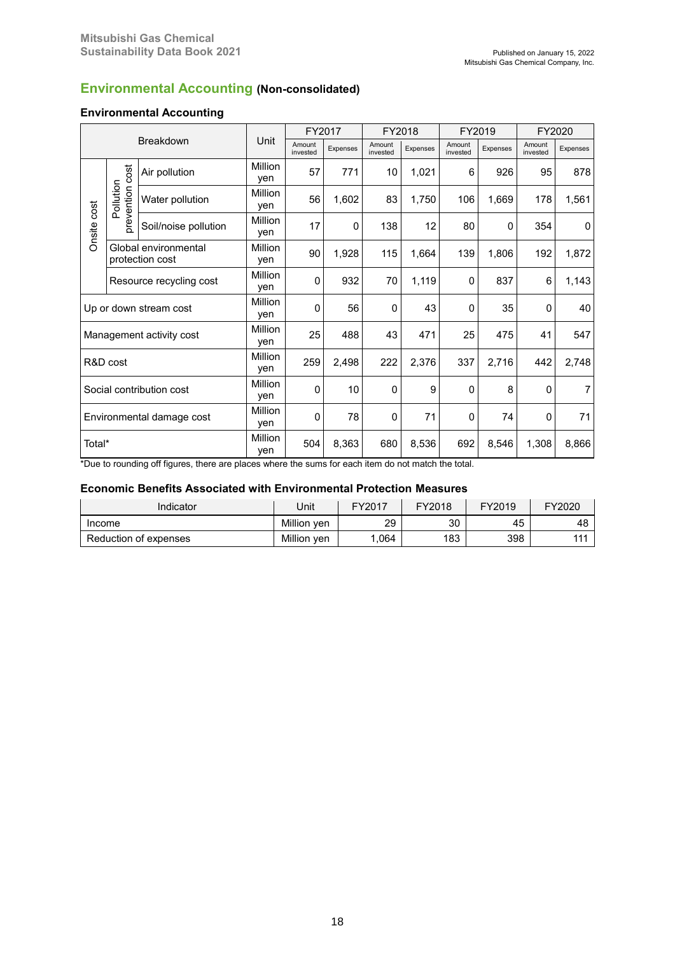# **Environmental Accounting (Non-consolidated)**

### **Environmental Accounting**

|             |                              |                                         |                       |                    | FY2017   | FY2018             |          | FY2019             |          | FY2020             |                 |
|-------------|------------------------------|-----------------------------------------|-----------------------|--------------------|----------|--------------------|----------|--------------------|----------|--------------------|-----------------|
|             |                              | <b>Breakdown</b>                        | <b>Unit</b>           | Amount<br>invested | Expenses | Amount<br>invested | Expenses | Amount<br>invested | Expenses | Amount<br>invested | <b>Expenses</b> |
|             |                              | Air pollution                           | Million<br>ven        | 57                 | 771      | 10                 | 1,021    | 6                  | 926      | 95                 | 878             |
|             | prevention cost<br>Pollution | Water pollution                         | <b>Million</b><br>ven | 56                 | 1,602    | 83                 | 1,750    | 106                | 1,669    | 178                | 1,561           |
| Onsite cost |                              | Soil/noise pollution                    | Million<br>yen        | 17                 | 0        | 138                | 12       | 80                 | 0        | 354                | $\mathbf{0}$    |
|             |                              | Global environmental<br>protection cost | Million<br>yen        | 90                 | 1,928    | 115                | 1,664    | 139                | 1,806    | 192                | 1,872           |
|             |                              | Resource recycling cost                 | Million<br>yen        | 0                  | 932      | 70                 | 1,119    | $\mathbf{0}$       | 837      | 6                  | 1,143           |
|             |                              | Up or down stream cost                  | Million<br>yen        | $\mathbf 0$        | 56       | 0                  | 43       | $\mathbf{0}$       | 35       | 0                  | 40              |
|             |                              | Management activity cost                | Million<br>yen        | 25                 | 488      | 43                 | 471      | 25                 | 475      | 41                 | 547             |
|             | R&D cost                     |                                         | Million<br>yen        | 259                | 2,498    | 222                | 2,376    | 337                | 2,716    | 442                | 2,748           |
|             |                              | Social contribution cost                | Million<br>yen        | $\mathbf 0$        | 10       | $\Omega$           | 9        | $\Omega$           | 8        | $\mathbf 0$        | $\overline{7}$  |
|             |                              | Environmental damage cost               | Million<br>yen        | $\mathbf 0$        | 78       | 0                  | 71       | $\mathbf{0}$       | 74       | $\mathbf 0$        | 71              |
| Total*      |                              |                                         | Million<br>yen        | 504                | 8,363    | 680                | 8,536    | 692                | 8,546    | 1,308              | 8,866           |

\*Due to rounding off figures, there are places where the sums for each item do not match the total.

### **Economic Benefits Associated with Environmental Protection Measures**

| Indicator             | Jnit           | FY2017 | FY2018 | FY2019 | FY2020 |
|-----------------------|----------------|--------|--------|--------|--------|
| Income                | Million<br>ven | 29     | 30     | 45     | 48     |
| Reduction of expenses | Million ven    | .064   | 183    | 398    | 111    |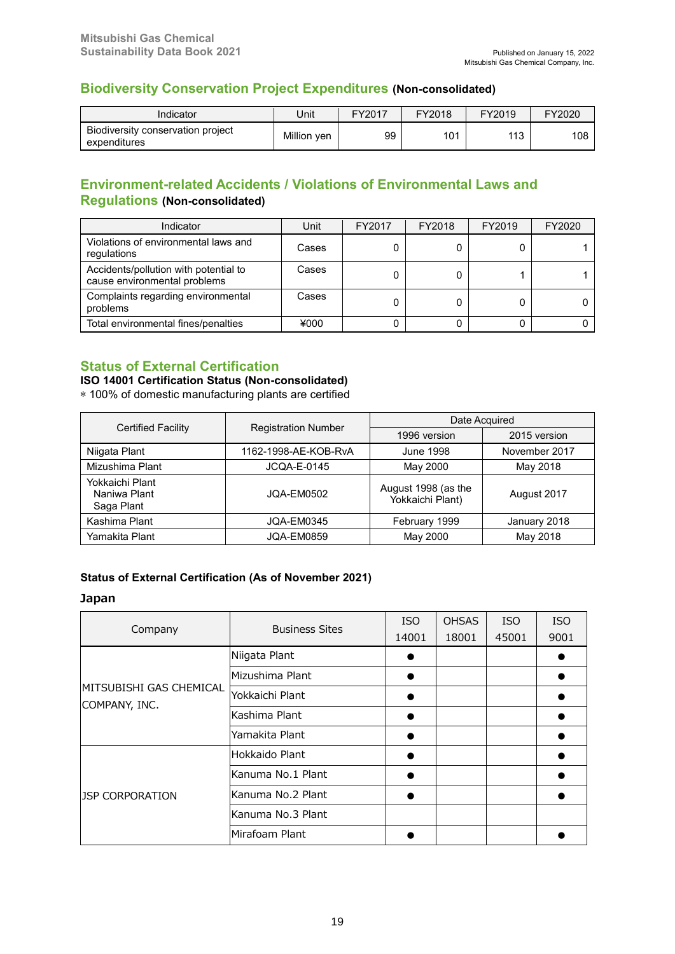# **Biodiversity Conservation Project Expenditures (Non-consolidated)**

| Indicator                                         | Jnit        | FY2017 | FY2018 | FY2019 | FY2020 |
|---------------------------------------------------|-------------|--------|--------|--------|--------|
| Biodiversity conservation project<br>expenditures | Million ven | 99     | 101    | 110    | 108    |

# **Environment-related Accidents / Violations of Environmental Laws and Regulations (Non-consolidated)**

| Indicator                                                             | Unit  | FY2017 | FY2018 | FY2019 | FY2020 |
|-----------------------------------------------------------------------|-------|--------|--------|--------|--------|
| Violations of environmental laws and<br>regulations                   | Cases |        |        |        |        |
| Accidents/pollution with potential to<br>cause environmental problems | Cases |        |        |        |        |
| Complaints regarding environmental<br>problems                        | Cases |        |        |        |        |
| Total environmental fines/penalties                                   | ¥000  |        |        |        |        |

# **Status of External Certification**

**ISO 14001 Certification Status (Non-consolidated)**

\* 100% of domestic manufacturing plants are certified

| <b>Certified Facility</b>                     |                            |                                         | Date Acquired |  |  |  |
|-----------------------------------------------|----------------------------|-----------------------------------------|---------------|--|--|--|
|                                               | <b>Registration Number</b> | 1996 version                            | 2015 version  |  |  |  |
| Niigata Plant                                 | 1162-1998-AE-KOB-RyA       | June 1998                               | November 2017 |  |  |  |
| Mizushima Plant                               | <b>JCQA-E-0145</b>         | May 2000                                | May 2018      |  |  |  |
| Yokkaichi Plant<br>Naniwa Plant<br>Saga Plant | JOA-EM0502                 | August 1998 (as the<br>Yokkaichi Plant) | August 2017   |  |  |  |
| Kashima Plant                                 | <b>JQA-EM0345</b>          | February 1999                           | January 2018  |  |  |  |
| Yamakita Plant                                | JOA-EM0859                 | May 2000                                | May 2018      |  |  |  |

# **Status of External Certification (As of November 2021)**

### **Japan**

| Company                                  | <b>Business Sites</b> | <b>ISO</b><br>14001 | <b>OHSAS</b><br>18001 | <b>ISO</b><br>45001 | <b>ISO</b><br>9001 |
|------------------------------------------|-----------------------|---------------------|-----------------------|---------------------|--------------------|
| MITSUBISHI GAS CHEMICAL<br>COMPANY, INC. | Niigata Plant         |                     |                       |                     |                    |
|                                          | Mizushima Plant       |                     |                       |                     |                    |
|                                          | Yokkaichi Plant       |                     |                       |                     |                    |
|                                          | Kashima Plant         |                     |                       |                     |                    |
|                                          | Yamakita Plant        |                     |                       |                     |                    |
| <b>JSP CORPORATION</b>                   | Hokkaido Plant        |                     |                       |                     |                    |
|                                          | lKanuma No.1 Plant    |                     |                       |                     |                    |
|                                          | lKanuma No.2 Plant    |                     |                       |                     |                    |
|                                          | Kanuma No.3 Plant     |                     |                       |                     |                    |
|                                          | Mirafoam Plant        |                     |                       |                     |                    |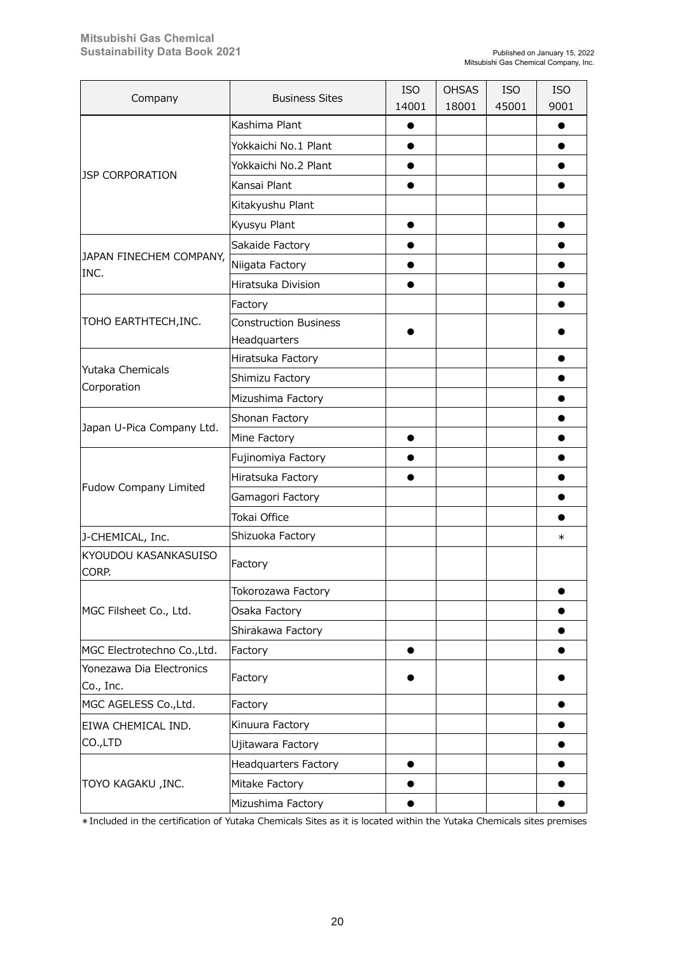| Company                               | <b>Business Sites</b>                        | <b>ISO</b><br>14001 | <b>OHSAS</b><br>18001 | <b>ISO</b><br>45001 | <b>ISO</b><br>9001 |
|---------------------------------------|----------------------------------------------|---------------------|-----------------------|---------------------|--------------------|
|                                       | Kashima Plant                                |                     |                       |                     |                    |
|                                       | Yokkaichi No.1 Plant                         |                     |                       |                     |                    |
|                                       | Yokkaichi No.2 Plant                         |                     |                       |                     |                    |
| <b>JSP CORPORATION</b>                | Kansai Plant                                 |                     |                       |                     |                    |
|                                       | Kitakyushu Plant                             |                     |                       |                     |                    |
|                                       | Kyusyu Plant                                 |                     |                       |                     |                    |
|                                       | Sakaide Factory                              |                     |                       |                     |                    |
| JAPAN FINECHEM COMPANY,               | Niigata Factory                              |                     |                       |                     |                    |
| INC.                                  | Hiratsuka Division                           |                     |                       |                     |                    |
|                                       | Factory                                      |                     |                       |                     |                    |
| TOHO EARTHTECH,INC.                   | <b>Construction Business</b><br>Headquarters |                     |                       |                     |                    |
|                                       | Hiratsuka Factory                            |                     |                       |                     |                    |
| Yutaka Chemicals                      | Shimizu Factory                              |                     |                       |                     |                    |
| Corporation                           | Mizushima Factory                            |                     |                       |                     |                    |
|                                       | Shonan Factory                               |                     |                       |                     |                    |
| Japan U-Pica Company Ltd.             | Mine Factory                                 |                     |                       |                     |                    |
|                                       | Fujinomiya Factory                           |                     |                       |                     |                    |
|                                       | Hiratsuka Factory                            |                     |                       |                     |                    |
| Fudow Company Limited                 | Gamagori Factory                             |                     |                       |                     |                    |
|                                       | Tokai Office                                 |                     |                       |                     |                    |
| J-CHEMICAL, Inc.                      | Shizuoka Factory                             |                     |                       |                     | $\ast$             |
| KYOUDOU KASANKASUISO<br>CORP.         | Factory                                      |                     |                       |                     |                    |
|                                       | Tokorozawa Factory                           |                     |                       |                     |                    |
| MGC Filsheet Co., Ltd.                | Osaka Factory                                |                     |                       |                     |                    |
|                                       | Shirakawa Factory                            |                     |                       |                     |                    |
| MGC Electrotechno Co., Ltd.           | Factory                                      |                     |                       |                     |                    |
| Yonezawa Dia Electronics<br>Co., Inc. | Factory                                      |                     |                       |                     |                    |
| MGC AGELESS Co., Ltd.                 | Factory                                      |                     |                       |                     |                    |
| EIWA CHEMICAL IND.                    | Kinuura Factory                              |                     |                       |                     |                    |
| CO.,LTD                               | Ujitawara Factory                            |                     |                       |                     |                    |
| TOYO KAGAKU ,INC.                     | <b>Headquarters Factory</b>                  |                     |                       |                     |                    |
|                                       | Mitake Factory                               |                     |                       |                     |                    |
|                                       | Mizushima Factory                            |                     |                       |                     |                    |

\*Included in the certification of Yutaka Chemicals Sites as it is located within the Yutaka Chemicals sites premises